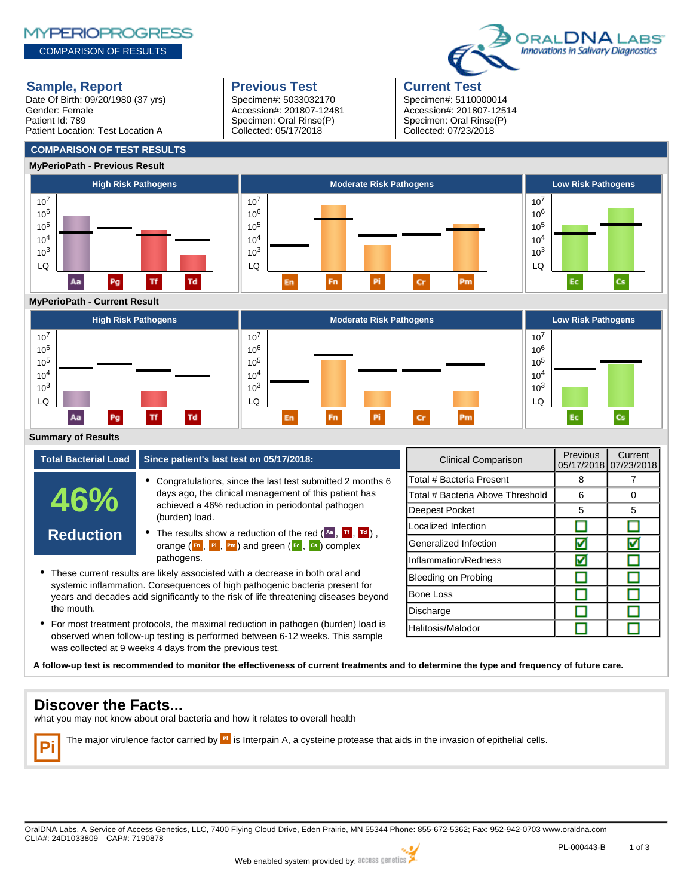# **MYPERIOPROGRESS**

COMPARISON OF RESULTS

# **Sample, Report Previous Test Previous Test Previous Test**

Date Of Birth: 09/20/1980 (37 yrs) Gender: Female Patient Id: 789 Patient Location: Test Location A

**COMPARISON OF TEST RESULTS**

Specimen#: 5033032170 Accession#: 201807-12481 Specimen: Oral Rinse(P) Collected: 05/17/2018

Specimen#: 5110000014 Accession#: 201807-12514 Specimen: Oral Rinse(P) Collected: 07/23/2018

DRAL**DNA** L Innovations in Salivary Diagnostics



# **MyPerioPath - Current Result**



# **Summary of Results**

| <b>Total Bacterial Load</b> | Since patient's last test on 05/17/2018:                                                                                                                                                                                                                                                                                                             |  |
|-----------------------------|------------------------------------------------------------------------------------------------------------------------------------------------------------------------------------------------------------------------------------------------------------------------------------------------------------------------------------------------------|--|
| 46%                         | • Congratulations, since the last test submitted 2 months 6<br>days ago, the clinical management of this patient has<br>achieved a 46% reduction in periodontal pathogen<br>(burden) load.                                                                                                                                                           |  |
| <b>Reduction</b>            | • The results show a reduction of the red $(\overline{A}$ , $\overline{B}$ , $\overline{C}$ ),<br>orange $(\begin{array}{cc} \mathsf{F} \mathsf{n} \end{array}, \begin{array}{cc} \mathsf{P} \mathsf{n} \end{array})$ and green $(\begin{array}{cc} \mathsf{E} \mathsf{c} \end{array}, \begin{array}{cc} \mathsf{c} \mathsf{s} \end{array})$ complex |  |
|                             | pathogens.<br>These current results are likely associated with a decrease in both aral and                                                                                                                                                                                                                                                           |  |

- These current results are likely associated with a decrease in both oral and systemic inflammation. Consequences of high pathogenic bacteria present for years and decades add significantly to the risk of life threatening diseases beyond the mouth.
- For most treatment protocols, the maximal reduction in pathogen (burden) load is observed when follow-up testing is performed between 6-12 weeks. This sample was collected at 9 weeks 4 days from the previous test.

| Clinical Comparison              | <b>Previous</b><br>05/17/2018 | Current<br>07/23/2018 |
|----------------------------------|-------------------------------|-----------------------|
| Total # Bacteria Present         | 8                             |                       |
| Total # Bacteria Above Threshold | 6                             | Ω                     |
| Deepest Pocket                   | 5                             | 5                     |
| Localized Infection              |                               |                       |
| Generalized Infection            |                               |                       |
| Inflammation/Redness             |                               |                       |
| Bleeding on Probing              |                               |                       |
| Bone Loss                        |                               |                       |
| Discharge                        |                               |                       |
| Halitosis/Malodor                |                               |                       |

**A follow-up test is recommended to monitor the effectiveness of current treatments and to determine the type and frequency of future care.**

# **Discover the Facts...**

what you may not know about oral bacteria and how it relates to overall health

**Pi** The major virulence factor carried by <sup>Pi</sup> is Interpain A, a cysteine protease that aids in the invasion of epithelial cells.

OralDNA Labs, A Service of Access Genetics, LLC, 7400 Flying Cloud Drive, Eden Prairie, MN 55344 Phone: 855-672-5362; Fax: 952-942-0703 www.oraldna.com CLIA#: 24D1033809 CAP#: 7190878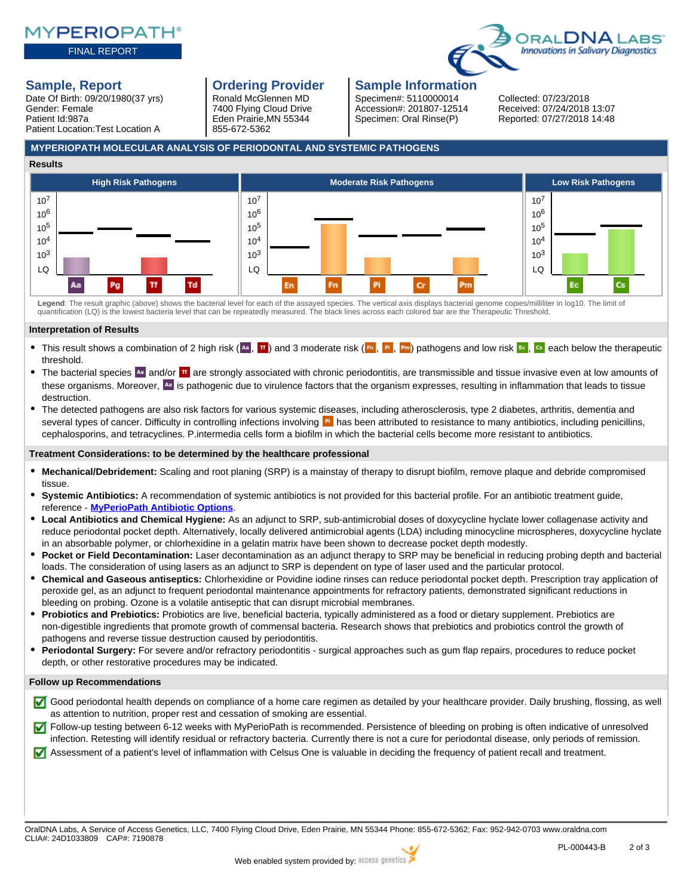### FINAL REPORT



Date Of Birth: 09/20/1980(37 yrs) Gender: Female Patient Id:987a Patient Location:Test Location A

Ronald McGlennen MD 7400 Flying Cloud Drive Eden Prairie,MN 55344 855-672-5362

# **Sample, Report Conservery Condering Provider Sample Information**

Specimen#: 5110000014 Collected: 07/23/2018

Specimen: Oral Rinse(P) Reported: 07/27/2018 14:48 Accession#: 201807-12514 Received: 07/24/2018 13:07

# **MYPERIOPATH MOLECULAR ANALYSIS OF PERIODONTAL AND SYSTEMIC PATHOGENS**



Legend: The result graphic (above) shows the bacterial level for each of the assayed species. The vertical axis displays bacterial genome copies/milliliter in log10. The limit of<br>quantification (LQ) is the lowest bacteria

### **Interpretation of Results**

- This result shows a combination of 2 high risk ( $\frac{A}{n}$ ,  $\frac{B}{n}$ ) and 3 moderate risk ( $\frac{B}{n}$ ,  $\frac{B}{n}$ ) pathogens and low risk  $\frac{C}{n}$ ,  $\frac{C}{n}$  each below the therapeutic threshold.
- The bacterial species  $A_n$  and/or  $\frac{\pi}{2}$  are strongly associated with chronic periodontitis, are transmissible and tissue invasive even at low amounts of  $\bullet$ these organisms. Moreover, <sup>Aa</sup> is pathogenic due to virulence factors that the organism expresses, resulting in inflammation that leads to tissue destruction.
- The detected pathogens are also risk factors for various systemic diseases, including atherosclerosis, type 2 diabetes, arthritis, dementia and several types of cancer. Difficulty in controlling infections involving **Pi** has been attributed to resistance to many antibiotics, including penicillins, cephalosporins, and tetracyclines. P.intermedia cells form a biofilm in which the bacterial cells become more resistant to antibiotics.

# **Treatment Considerations: to be determined by the healthcare professional**

- **Mechanical/Debridement:** Scaling and root planing (SRP) is a mainstay of therapy to disrupt biofilm, remove plaque and debride compromised tissue.
- $\bullet$ **Systemic Antibiotics:** A recommendation of systemic antibiotics is not provided for this bacterial profile. For an antibiotic treatment guide, reference - **[MyPerioPath Antibiotic Options](https://www.oraldna.com/customerService/MPP_ANTIBIOTIC_OPTIONS.PDF?t=1530208011705)**.
- $\bullet$ **Local Antibiotics and Chemical Hygiene:** As an adjunct to SRP, sub-antimicrobial doses of doxycycline hyclate lower collagenase activity and reduce periodontal pocket depth. Alternatively, locally delivered antimicrobial agents (LDA) including minocycline microspheres, doxycycline hyclate in an absorbable polymer, or chlorhexidine in a gelatin matrix have been shown to decrease pocket depth modestly.
- **Pocket or Field Decontamination:** Laser decontamination as an adjunct therapy to SRP may be beneficial in reducing probing depth and bacterial loads. The consideration of using lasers as an adjunct to SRP is dependent on type of laser used and the particular protocol.
- **Chemical and Gaseous antiseptics:** Chlorhexidine or Povidine iodine rinses can reduce periodontal pocket depth. Prescription tray application of peroxide gel, as an adjunct to frequent periodontal maintenance appointments for refractory patients, demonstrated significant reductions in bleeding on probing. Ozone is a volatile antiseptic that can disrupt microbial membranes.
- $\bullet$ **Probiotics and Prebiotics:** Probiotics are live, beneficial bacteria, typically administered as a food or dietary supplement. Prebiotics are non-digestible ingredients that promote growth of commensal bacteria. Research shows that prebiotics and probiotics control the growth of pathogens and reverse tissue destruction caused by periodontitis.
- **Periodontal Surgery:** For severe and/or refractory periodontitis surgical approaches such as gum flap repairs, procedures to reduce pocket depth, or other restorative procedures may be indicated.

### **Follow up Recommendations**

- Good periodontal health depends on compliance of a home care regimen as detailed by your healthcare provider. Daily brushing, flossing, as well as attention to nutrition, proper rest and cessation of smoking are essential.
- Follow-up testing between 6-12 weeks with MyPerioPath is recommended. Persistence of bleeding on probing is often indicative of unresolved infection. Retesting will identify residual or refractory bacteria. Currently there is not a cure for periodontal disease, only periods of remission.
- Assessment of a patient's level of inflammation with Celsus One is valuable in deciding the frequency of patient recall and treatment.

OralDNA Labs, A Service of Access Genetics, LLC, 7400 Flying Cloud Drive, Eden Prairie, MN 55344 Phone: 855-672-5362; Fax: 952-942-0703 www.oraldna.com CLIA#: 24D1033809 CAP#: 7190878